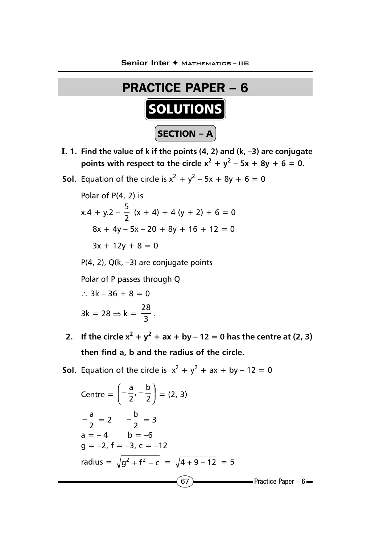

- I. **1. Find the value of k if the points (4, 2) and (k, –3) are conjugate points with respect to the circle**  $x^2 + y^2 - 5x + 8y + 6 = 0$ **.**
- **Sol.** Equation of the circle is  $x^2 + y^2 5x + 8y + 6 = 0$

Polar of P(4, 2) is  $x.4 + y.2 - \frac{5}{2} (x + 4) + 4 (y + 2) + 6 = 0$  $8x + 4y - 5x - 20 + 8y + 16 + 12 = 0$  $3x + 12y + 8 = 0$ 

P(4, 2), Q(k, –3) are conjugate points

Polar of P passes through Q

$$
\therefore 3k - 36 + 8 = 0
$$

$$
3k = 28 \Rightarrow k = \frac{28}{3}.
$$

- **2.** If the circle  $x^2 + y^2 + ax + by 12 = 0$  has the centre at (2, 3) **then find a, b and the radius of the circle.**
- **Sol.** Equation of the circle is  $x^2 + y^2 + ax + by 12 = 0$

Centre = 
$$
\left(-\frac{a}{2}, -\frac{b}{2}\right)
$$
 = (2, 3)  
\n $-\frac{a}{2} = 2 \qquad -\frac{b}{2} = 3$   
\na = -4 \qquad b = -6  
\ng = -2, f = -3, c = -12  
\nradius =  $\sqrt{g^2 + f^2 - c} = \sqrt{4 + 9 + 12} = 5$   
\n67  
\nPractice Paper - 6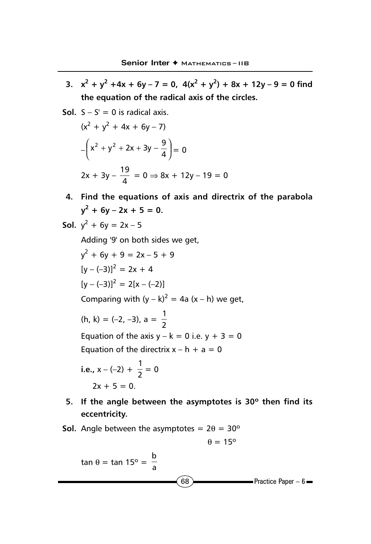- **3.**  $x^2 + y^2 + 4x + 6y 7 = 0$ ,  $4(x^2 + y^2) + 8x + 12y 9 = 0$  find **the equation of the radical axis of the circles.**
- **Sol.**  $S S' = 0$  is radical axis.

$$
(x2 + y2 + 4x + 6y - 7)
$$
  
-\left(x<sup>2</sup> + y<sup>2</sup> + 2x + 3y -  $\frac{9}{4}$ \right) = 0  
2x + 3y -  $\frac{19}{4}$  = 0  $\Rightarrow$  8x + 12y - 19 = 0

**4. Find the equations of axis and directrix of the parabola**  $y^2 + 6y - 2x + 5 = 0.$ 

**Sol.** 
$$
y^2 + 6y = 2x - 5
$$

Adding '9' on both sides we get,

$$
y^{2} + 6y + 9 = 2x - 5 + 9
$$
  
\n
$$
[y - (-3)]^{2} = 2x + 4
$$
  
\n
$$
[y - (-3)]^{2} = 2[x - (-2)]
$$
  
\nComparing with  $(y - k)^{2} = 4a (x - h)$  we get,  
\n $(h, k) = (-2, -3), a = \frac{1}{2}$   
\nEquation of the axis  $y - k = 0$  i.e.  $y + 3 = 0$   
\nEquation of the directrix  $x - h + a = 0$   
\ni.e.  $x - (-2) + \frac{1}{2} = 0$ 

i.e., 
$$
x - (-2) + \frac{1}{2} = 0
$$
  
2x + 5 = 0.

- **5. If the angle between the asymptotes is 30º then find its eccentricity.**
- **Sol.** Angle between the asymptotes =  $2\theta = 30^{\circ}$

$$
\theta=15^{\rm o}
$$

$$
\tan \theta = \tan 15^{\circ} = \frac{b}{a}
$$
\n
$$
\boxed{68}
$$
\nPractice Paper – 6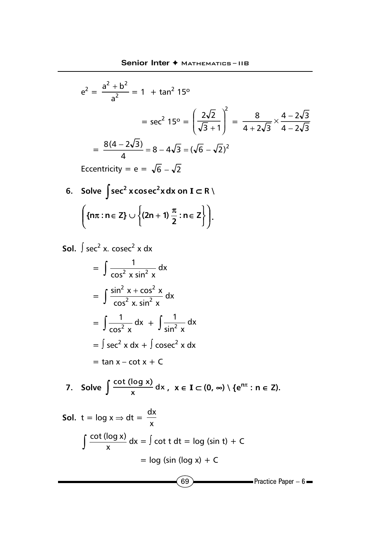$$
e^{2} = \frac{a^{2} + b^{2}}{a^{2}} = 1 + \tan^{2} 15^{\circ}
$$
  
=  $\sec^{2} 15^{\circ} = \left(\frac{2\sqrt{2}}{\sqrt{3} + 1}\right)^{2} = \frac{8}{4 + 2\sqrt{3}} \times \frac{4 - 2\sqrt{3}}{4 - 2\sqrt{3}}$   
=  $\frac{8(4 - 2\sqrt{3})}{4} = 8 - 4\sqrt{3} = (\sqrt{6} - \sqrt{2})^{2}$   
Eccentricity =  $e = \sqrt{6} - \sqrt{2}$ 

**6.** Solve  $\int \sec^2 x \csc^2 x dx$  on **I** ⊂ R \  $\overline{\phantom{a}}$  $\big)$  $\mathcal{L}$ I ∖ ſ  $\left\{ \right\}$  $\left\{ \left(2n+1\right)\frac{\pi}{2}:n\in\mathbb{Z}\right\}$ 

**Sol.**  $\int$  sec<sup>2</sup> x. cosec<sup>2</sup> x dx  $=\int \frac{1}{\cos^2 x \sin^2 x} dx$ 1  $2$   $\sqrt{2}$  $= \int \frac{\sin^2 x + \cos^2 x}{\cos^2 x \cdot \sin^2 x} dx$  $\sin^2 x + \cos^2 x$  $2 \times \sin^2$  $2v \cdot \cos^2$  $=\int \frac{1}{\cos^2 x} dx$  $\int \frac{1}{\sin^2 x} dx + \int \frac{1}{\sin^2 x} dx$ 1 2  $=$   $\int$  sec<sup>2</sup> x dx +  $\int$  cosec<sup>2</sup> x dx

$$
= \tan x - \cot x + C
$$

7. Solve 
$$
\int \frac{\cot (\log x)}{x} dx, \quad x \in I \subset (0, \infty) \setminus \{e^{n\pi} : n \in Z\}.
$$

 $\sim$  Practice Paper – 6 **Sol.**  $t = \log x \Rightarrow dt = \frac{1}{x}$ dx  $\int \frac{\cot (\log x)}{x} dx = \int \cot t dt = \log (\sin t) + C$  $=$  log (sin (log x) + C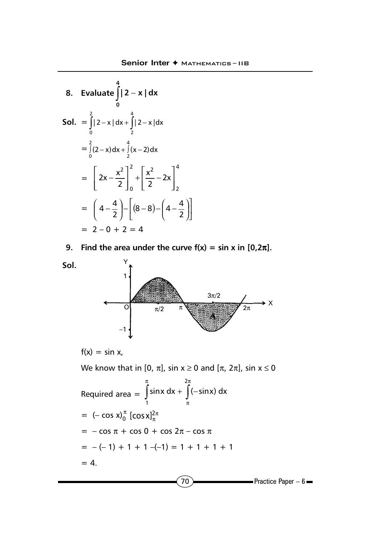8. Evaluate 
$$
\int_{0}^{4} |2 - x| dx
$$
  
\nSoI. = 
$$
\int_{0}^{2} |2 - x| dx + \int_{2}^{4} |2 - x| dx
$$
  
\n
$$
= \int_{0}^{2} (2 - x) dx + \int_{2}^{4} (x - 2) dx
$$
  
\n
$$
= \left[ 2x - \frac{x^{2}}{2} \right]_{0}^{2} + \left[ \frac{x^{2}}{2} - 2x \right]_{2}^{4}
$$
  
\n
$$
= \left[ 4 - \frac{4}{2} \right) - \left[ (8 - 8) - \left( 4 - \frac{4}{2} \right) \right]
$$
  
\n
$$
= 2 - 0 + 2 = 4
$$

9. Find the area under the curve 
$$
f(x) = \sin x
$$
 in  $[0, 2\pi]$ .

**Sol.**



$$
f(x) = \sin x,
$$

We know that in [0,  $\pi$ ], sin  $x \ge 0$  and [ $\pi$ ,  $2\pi$ ], sin  $x \le 0$ 

Required area = 
$$
\int_{1}^{\pi} \sin x \, dx + \int_{\pi}^{2\pi} (-\sin x) \, dx
$$
  
= 
$$
(-\cos x)^{\pi} [\cos x]_{\pi}^{2\pi}
$$
  
= 
$$
-\cos \pi + \cos 0 + \cos 2\pi - \cos \pi
$$
  
= 
$$
-(-1) + 1 + 1 - (-1) = 1 + 1 + 1 + 1
$$
  
= 4.

 $(70)$  Practice Paper – 6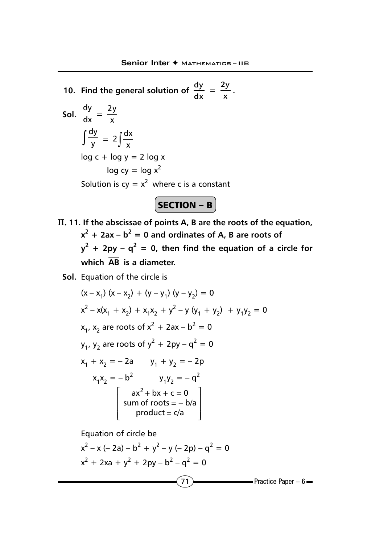**10. Find the general solution of**  $\frac{dy}{dx} = \frac{2y}{x}$ **.** Sol.  $\frac{dy}{dx} = \frac{2y}{x}$  $\int \frac{dy}{y} = 2 \int \frac{dx}{x}$  $log c + log y = 2 log x$  $log cy = log x^2$ Solution is  $cy = x^2$  where c is a constant

 $\boxed{\mathsf{SECTION} - \mathsf{B}}$ 

II. **11. If the abscissae of points A, B are the roots of the equation,**  $x^2 + 2ax - b^2 = 0$  and ordinates of A, B are roots of  $y^2$  + 2py –  $q^2$  = 0, then find the equation of a circle for **which AB is a diameter.**

**Sol.** Equation of the circle is

$$
(x - x_1) (x - x_2) + (y - y_1) (y - y_2) = 0
$$
  
\nx<sup>2</sup> - x(x<sub>1</sub> + x<sub>2</sub>) + x<sub>1</sub>x<sub>2</sub> + y<sup>2</sup> - y (y<sub>1</sub> + y<sub>2</sub>) + y<sub>1</sub>y<sub>2</sub> = 0  
\nx<sub>1</sub>, x<sub>2</sub> are roots of x<sup>2</sup> + 2ax - b<sup>2</sup> = 0  
\ny<sub>1</sub>, y<sub>2</sub> are roots of y<sup>2</sup> + 2py - q<sup>2</sup> = 0  
\nx<sub>1</sub> + x<sub>2</sub> = -2a y<sub>1</sub> + y<sub>2</sub> = -2p  
\nx<sub>1</sub>x<sub>2</sub> = -b<sup>2</sup> y<sub>1</sub>y<sub>2</sub> = -q<sup>2</sup>  
\nax<sup>2</sup> + bx + c = 0  
\nsum of roots = - b/a  
\nproduct = c/a

 $(71)$  Practice Paper – 6 Equation of circle be  $x^2 - x$  (- 2a) –  $b^2 + y^2 - y$  (- 2p) –  $q^2 = 0$  $x^{2} + 2xa + y^{2} + 2py - b^{2} - q^{2} = 0$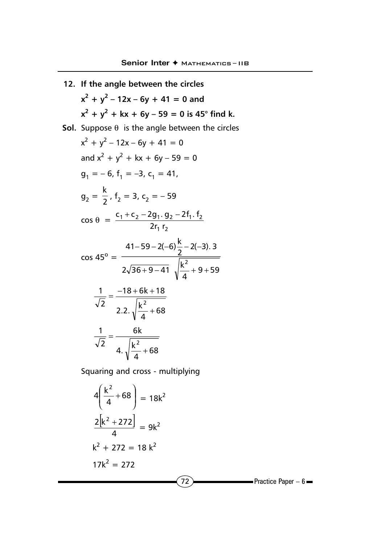**12. If the angle between the circles**  $x^2 + y^2 - 12x - 6y + 41 = 0$  and  $x^{2} + y^{2} + kx + 6y - 59 = 0$  is 45° find k. **Sol.** Suppose  $\theta$  is the angle between the circles  $x^2 + y^2 - 12x - 6y + 41 = 0$ and  $x^2 + y^2 + kx + 6y - 59 = 0$  $g_1 = -6$ ,  $f_1 = -3$ ,  $c_1 = 41$ ,  $g_2 = \frac{k}{2}$ ,  $f_2 = 3$ ,  $c_2 = -59$  $\cos \theta =$ 1 2  $1 + 2 - 2 - 91 \cdot 92 - 211 \cdot 12$  $2r_1$  r  $c_1 + c_2 - 2g_1$ .  $g_2 - 2f_1$ . f  $\cos 45^\circ =$  $2\sqrt{36+9-41} \sqrt{\frac{k^2}{4}}+9+59$  $\frac{(41-59-2(-6)}{2}$  - 2(-3). 3 2  $+9-41$   $\frac{1}{2}$  + 9 + − 59 – 2(–6) <del>^</del> – 2(– 2.2.  $\sqrt{\frac{k^2}{4}} + 68$  $18 + 6k + 18$ 2 1 2 +  $=\frac{-18+6k+1}{2}$ 4.  $\sqrt{\frac{k^2}{4}} + 68$ 6k 2 1 2 + =

Squaring and cross - multiplying

$$
4\left(\frac{k^2}{4} + 68\right) = 18k^2
$$
  

$$
\frac{2[k^2 + 272]}{4} = 9k^2
$$
  

$$
k^2 + 272 = 18k^2
$$
  

$$
17k^2 = 272
$$
Practice Paper - 6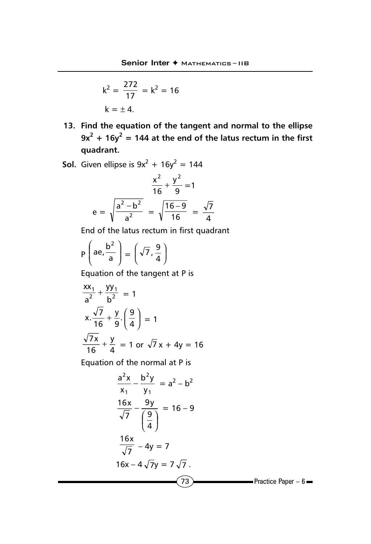$$
k^2 = \frac{272}{17} = k^2 = 16
$$
  

$$
k = \pm 4.
$$

- **13. Find the equation of the tangent and normal to the ellipse**  $9x^2 + 16y^2 = 144$  at the end of the latus rectum in the first **quadrant. Mar. '07**
- **Sol.** Given ellipse is  $9x^2 + 16y^2 = 144$

$$
e = \sqrt{\frac{a^2 - b^2}{a^2}} = \sqrt{\frac{16 - 9}{16}} = \frac{\sqrt{7}}{4}
$$

End of the latus rectum in first quadrant

$$
P\left(ae, \frac{b^2}{a}\right) = \left(\sqrt{7}, \frac{9}{4}\right)
$$

Equation of the tangent at P is

$$
\frac{xx_1}{a^2} + \frac{yy_1}{b^2} = 1
$$
  
x.  $\frac{\sqrt{7}}{16} + \frac{y}{9} \cdot \left(\frac{9}{4}\right) = 1$   
 $\frac{\sqrt{7}x}{16} + \frac{y}{4} = 1$  or  $\sqrt{7}x + 4y = 16$ 

Equation of the normal at P is

$$
\frac{a^2x}{x_1} - \frac{b^2y}{y_1} = a^2 - b^2
$$
  

$$
\frac{16x}{\sqrt{7}} - \frac{9y}{\left(\frac{9}{4}\right)} = 16 - 9
$$
  

$$
\frac{16x}{\sqrt{7}} - 4y = 7
$$
  

$$
16x - 4\sqrt{7}y = 7\sqrt{7}
$$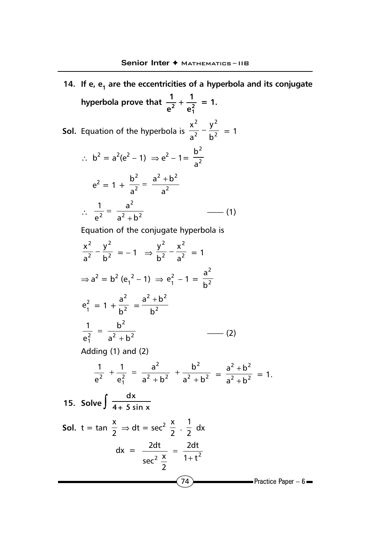$(74)$  Practice Paper – 6 **14.** If e, e<sub>1</sub> are the eccentricities of a hyperbola and its conjugate **hyperbola prove that**  $\frac{1}{e^2} + \frac{1}{e_1^2}$ **1 e**  $\frac{1}{2} + \frac{1}{2} = 1.$ **Sol.** Equation of the hyperbola is  $\frac{1}{2^2} - \frac{1}{b^2}$ 2 2 2 b y  $rac{x^2}{a^2} - \frac{y^2}{b^2} = 1$ ∴  $b^2 = a^2(e^2 - 1) \Rightarrow e^2 - 1 = \frac{b^2}{2}$ 2 a b  $e^2 = 1 + \frac{b}{2} = \frac{a + \sqrt{2}}{2}$ 2  $h^2$ 2 2 a  $a^2 + b$ a  $\frac{b^2}{2} = \frac{a^2 + b^2}{2}$  $\therefore \frac{\overline{a^2}}{a^2 + b^2}$ 2  $^{2}$  a<sup>2</sup> + b a e 1 <sup>+</sup> <sup>=</sup> –––– (1) Equation of the conjugate hyperbola is 2 2 2 2 b y  $rac{x^2}{a^2} - \frac{y^2}{b^2} = -1 \implies \frac{y^2}{b^2} - \frac{x^2}{a^2}$ 2 2 a x  $\frac{y^2}{b^2} - \frac{x^2}{a^2} = 1$ ⇒  $a^2 = b^2 (e_1^2 - 1)$  ⇒  $e_1^2 - 1 = \frac{a}{b^2}$ 2 b a  $e_1^2 = 1 + \frac{a}{h^2}$ 2  $\frac{a^2}{b^2} = \frac{a^2 + b^2}{b^2}$ b  $a^2 + b$  $2 h^2$ 2  $\frac{2}{1}$  a<sup>2</sup> + b b e  $\frac{1}{a^2 + b^2}$  =  $\frac{b^2}{a^2 + b^2}$  (2) Adding (1) and (2)  $2 h^2$ 2  $2 h^2$ 2  $e_1^2$   $a^2 + b^2$   $a^2 + b$ 1 b  $a^2 + b$ a e 1 e 1 + +  $+\frac{1}{e_1^2} = \frac{a^2}{a^2 + b^2} + \frac{b^2}{a^2 + b^2} = \frac{a^2 + b^2}{a^2 + b^2}$  $a^2 + b$  $a^2 + b$ +  $\frac{+b^2}{1^2} = 1.$ **15. Solve**  $\int \frac{dx}{4+5 \sin x}$ **Sol.**  $t = \tan \frac{x}{2} \Rightarrow dt = \sec^2 \frac{x}{2} \cdot \frac{1}{2} dx$  $dx = \frac{2dt}{\sec^2{\frac{x}{2}}} = \frac{2dt}{1+t^2}$ 2  $sec^2 \frac{x}{2}$  $\frac{2dt}{1 + \frac{2t^2}{c^2}} = \frac{2t^2}{1 + \frac{2t^2}{c^2}}$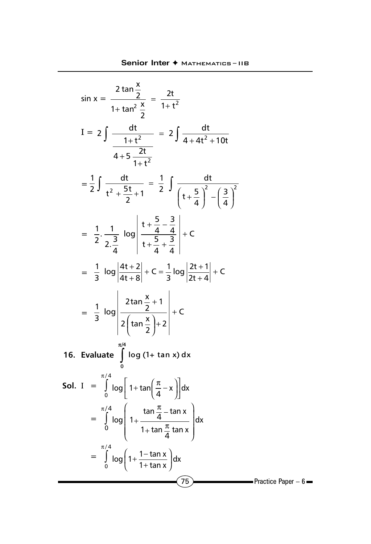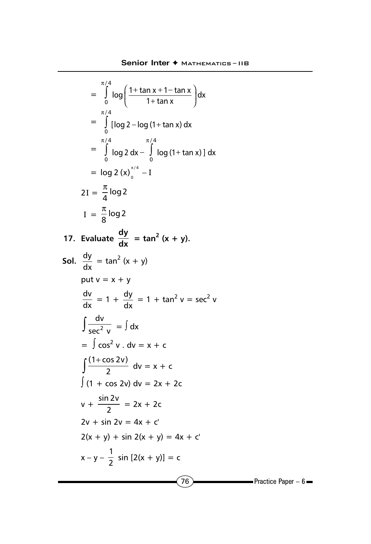$$
\int_{0}^{\frac{\pi}{4}} \log\left(\frac{1 + \tan x + 1 - \tan x}{1 + \tan x}\right) dx
$$
\n
$$
= \int_{0}^{\frac{\pi}{4}} [\log 2 - \log (1 + \tan x) dx]
$$
\n
$$
= \int_{0}^{\frac{\pi}{4}} \log 2 dx - \int_{0}^{\frac{\pi}{4}} \log (1 + \tan x) dx
$$
\n
$$
= \log 2 (x) \Big|_{0}^{\frac{\pi}{4}} - I
$$
\n
$$
2I = \frac{\pi}{4} \log 2
$$
\n
$$
I = \frac{\pi}{8} \log 2
$$
\n17. Evaluate  $\frac{dy}{dx} = \tan^2 (x + y)$ .  
\nSoI.  $\frac{dy}{dx} = \tan^2 (x + y)$   
\nput  $v = x + y$   
\n $\frac{dv}{dx} = 1 + \frac{dy}{dx} = 1 + \tan^2 v = \sec^2 v$   
\n $\int \frac{dv}{sec^2 v} = \int dx$   
\n $= \int cos^2 v \cdot dv = x + c$   
\n $\int (1 + \cos 2v) dv = 2x + 2c$   
\n $v + \frac{\sin 2v}{2} = 2x + 2c$   
\n $2v + \sin 2v = 4x + c'$   
\n $2(x + y) + \sin 2(x + y) = 4x + c'$   
\n $x - y - \frac{1}{2} \sin [2(x + y)] = c$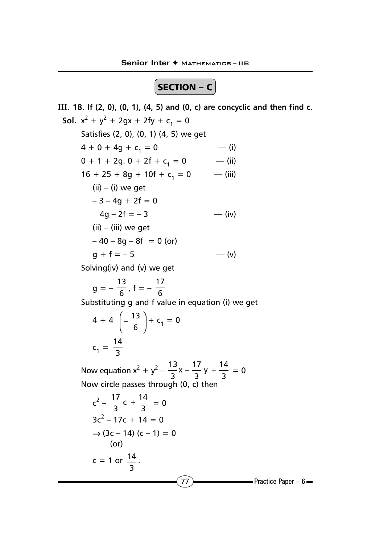$\boxed{\mathsf{SECTION} - \mathsf{C}}$ 

III. **18. If (2, 0), (0, 1), (4, 5) and (0, c) are concyclic and then find c. Sol.**  $x^2 + y^2 + 2gx + 2fy + c_1 = 0$ Satisfies (2, 0), (0, 1) (4, 5) we get  $4 + 0 + 4g + c_1 = 0$  ––(i)  $0 + 1 + 2g$ .  $0 + 2f + c_1 = 0$  –– (ii)  $16 + 25 + 8g + 10f + c_1 = 0$  – (iii)  $(ii) - (i)$  we get  $-3 - 4g + 2f = 0$  $4q - 2f = -3$  –– (iv)  $(ii) - (iii)$  we get  $-40 - 8q - 8f = 0$  (or)  $q + f = -5$  –– (v) Solving(iv) and (v) we get

 $g = -\frac{13}{6}$ , f =  $-\frac{17}{6}$ 

Substituting g and f value in equation (i) we get

$$
4 + 4 \left( -\frac{13}{6} \right) + c_1 = 0
$$
  

$$
c_1 = \frac{14}{3}
$$

Now equation  $x^2 + y^2 - \frac{13}{3}x - \frac{17}{3}y + \frac{14}{3} = 0$ Now circle passes through (0, c) then

$$
c^{2} - \frac{17}{3}c + \frac{14}{3} = 0
$$
  
3c<sup>2</sup> - 17c + 14 = 0  

$$
\Rightarrow (3c - 14) (c - 1) = 0
$$
  
(or)  

$$
c = 1 \text{ or } \frac{14}{3}.
$$
Practice Paper - 6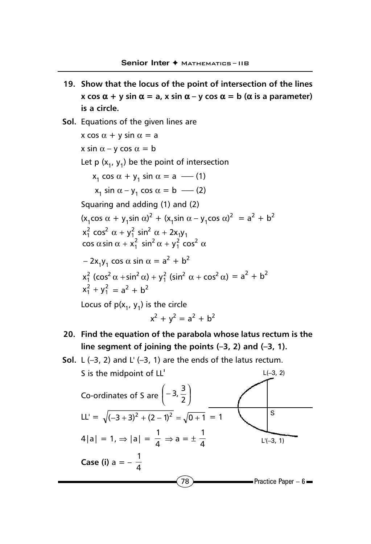- **19. Show that the locus of the point of intersection of the lines x** cos  $\alpha$  + y sin  $\alpha$  = a, x sin  $\alpha$  – y cos  $\alpha$  = b ( $\alpha$  is a parameter) **is a circle.**
- **Sol.** Equations of the given lines are x cos  $\alpha$  + y sin  $\alpha$  = a x sin  $\alpha$  – y cos  $\alpha$  = b Let  $p(x_1, y_1)$  be the point of intersection  $x_1 \cos \alpha + y_1 \sin \alpha = a$  –– (1)  $x_1 \sin \alpha - y_1 \cos \alpha = b$  –– (2) Squaring and adding (1) and (2)  $(x_1 \cos \alpha + y_1 \sin \alpha)^2 + (x_1 \sin \alpha - y_1 \cos \alpha)^2 = a^2 + b^2$  $x_1^2 \cos^2 \alpha + y_1^2 \sin^2 \alpha + 2x_1y_1$ cos  $\alpha$  sin  $\alpha + x_1^2 \sin^2 \alpha + y_1^2 \cos^2 \alpha$  $-2x_1y_1 \cos \alpha \sin \alpha = a^2 + b^2$  $x_1^2 (\cos^2 \alpha + \sin^2 \alpha) + y_1^2 (\sin^2 \alpha + \cos^2 \alpha) = a^2 + b^2$  $x_1^2 + y_1^2 = a^2 + b^2$ Locus of  $p(x_1, y_1)$  is the circle

$$
x^2 + y^2 = a^2 + b^2
$$

- **20. Find the equation of the parabola whose latus rectum is the line segment of joining the points (–3, 2) and (–3, 1).**
- **Sol.**  $L(-3, 2)$  and  $L'(-3, 1)$  are the ends of the latus rectum.

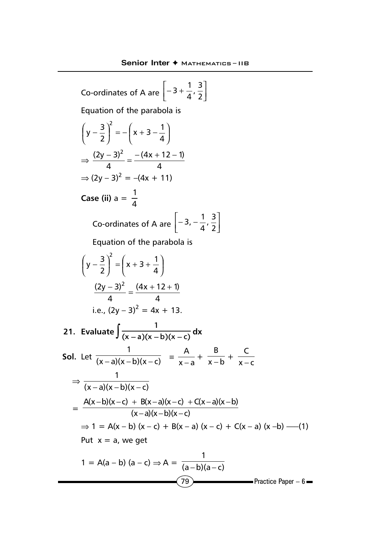Co-ordinates of A are 
$$
\left[-3 + \frac{1}{4}, \frac{3}{2}\right]
$$
  
\nEquation of the parabola is  
\n $\left(y - \frac{3}{2}\right)^2 = -\left(x + 3 - \frac{1}{4}\right)$   
\n $\Rightarrow \frac{(2y - 3)^2}{4} = \frac{-(4x + 12 - 1)}{4}$   
\n $\Rightarrow (2y - 3)^2 = -(4x + 11)$   
\nCase (ii) a =  $\frac{1}{4}$   
\nCo-ordinates of A are  $\left[-3, -\frac{1}{4}, \frac{3}{2}\right]$   
\nEquation of the parabola is  
\n $\left(y - \frac{3}{2}\right)^2 = \left(x + 3 + \frac{1}{4}\right)$   
\n $\frac{(2y - 3)^2}{4} = \frac{(4x + 12 + 1)}{4}$   
\ni.e.,  $(2y - 3)^2 = 4x + 13$ .  
\n21. Evaluate  $\int \frac{1}{(x - a)(x - b)(x - c)} dx$   
\nSoI. Let  $\frac{1}{(x - a)(x - b)(x - c)} = \frac{A}{x - a} + \frac{B}{x - b} + \frac{C}{x - c}$   
\n $\Rightarrow \frac{1}{(x - a)(x - b)(x - c)} = \frac{A}{x - a} + \frac{B}{x - b} + \frac{C}{x - c}$   
\n $\Rightarrow \frac{A(x - b)(x - c)}{(x - a)(x - b)(x - c)} = \frac{A(x - b)(x - c) + C(x - a)(x - b)}{(x - a)(x - b)(x - c)}$   
\n $\Rightarrow 1 = A(x - b) (x - c) + B(x - a) (x - c) + C(x - a) (x - b) - (1)$   
\nPut  $x = a$ , we get  
\n $1 = A(a - b) (a - c) \Rightarrow A = \frac{1}{(a - b)(a - c)}$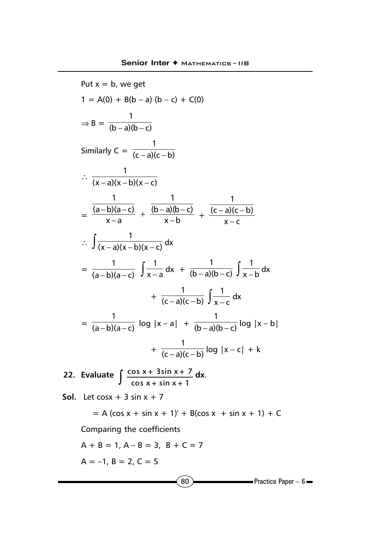Put  $x = b$ , we get  $1 = A(0) + B(b - a)(b - c) + C(0)$  $\Rightarrow$  B =  $\frac{}{(b-a)(b-c)}$ 1 − a)(b – Similarly  $C = \frac{1}{(c-a)(c-b)}$ 1 − a)(c – ∴  $\frac{1}{(x-a)(x-b)(x-c)}$ − a)(x – b)(x –  $=\frac{(a-b)(a-c)}{x-a} + \frac{(b-a)(b-c)}{x-b}$ 1  $x - a$ (a – b)(a – c) 1  $\frac{-b(a-c)}{x-a} + \frac{(b-a)(b-c)}{x-b} + \frac{(c-a)(c)}{x-c}$  $(c - a)(c - b)$ 1 − − a)(c – ∴  $\int \frac{1}{(x-a)(x-b)(x-c)}$ dx  $=\frac{1}{(a-b)(a-c)} \int \frac{1}{x-a} dx + \frac{1}{(b-a)(b-c)}$  $\frac{1}{(b-c)} \int \frac{1}{x-b} dx$ +  $\frac{}{(c-a)(c-b)}$  $\frac{1}{(-a)(c-b)} \int \frac{1}{x-c} dx$  $=\sqrt{(a-b)(a-c)}$ 1  $\frac{-b(a-c)}{-b(a-c)}$  log  $|x-a|$  +  $\frac{1}{(b-a)(b-c)}$ 1  $\overline{-a(b-c)}$  log  $|x-b|$ +  $\overline{(c-a)(c-b)}$ 1  $\frac{1}{(c-a)(c-b)}$  log  $|x-c| + k$ **22.** Evaluate  $\int \frac{\cos x + 3\sin x + 7}{\cos x + \sin x + 1} dx$ . **Sol.** Let  $\cos x + 3 \sin x + 7$  $= A$  (cos x + sin x + 1)' + B(cos x + sin x + 1) + C Comparing the coefficients  $A + B = 1$ ,  $A - B = 3$ ,  $B + C = 7$ 

 $A = -1$ ,  $B = 2$ ,  $C = 5$ 

 $\overline{80}$  Practice Paper – 6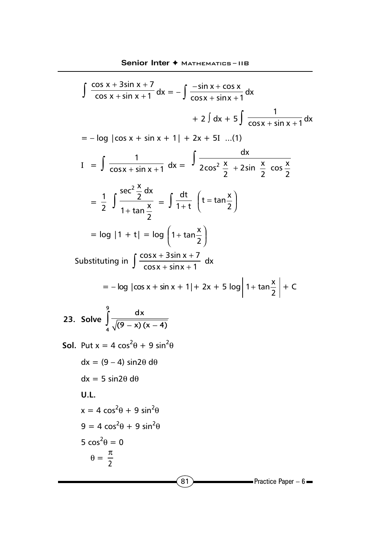$$
\int \frac{\cos x + 3\sin x + 7}{\cos x + \sin x + 1} dx = -\int \frac{-\sin x + \cos x}{\cos x + \sin x + 1} dx
$$
  
\n
$$
+ 2\int dx + 5\int \frac{1}{\cos x + \sin x + 1} dx
$$
  
\n
$$
= -\log |\cos x + \sin x + 1| + 2x + 5I \dots (1)
$$
  
\n
$$
I = \int \frac{1}{\cos x + \sin x + 1} dx = \int \frac{dx}{2\cos^2 \frac{x}{2} + 2\sin \frac{x}{2} + \cos \frac{x}{2}} dx
$$
  
\n
$$
= \frac{1}{2} \int \frac{\sec^2 \frac{x}{2} dx}{1 + \tan \frac{x}{2}} = \int \frac{dt}{1 + t} \left(t = \tan \frac{x}{2}\right)
$$
  
\n
$$
= \log |1 + t| = \log \left(1 + \tan \frac{x}{2}\right)
$$
  
\nSubstituting in  $\int \frac{\cos x + 3\sin x + 7}{\cos x + \sin x + 1} dx$   
\n
$$
= -\log |\cos x + \sin x + 1| + 2x + 5 \log |1 + \tan \frac{x}{2}| + C
$$
  
\n23. Solve  $\int \frac{dx}{\sqrt{(9 - x)(x - 4)}}$   
\nSoI. Put  $x = 4 \cos^2 \theta + 9 \sin^2 \theta$   
\n $dx = (9 - 4) \sin 2\theta d\theta$   
\n $dx = 5 \sin 2\theta d\theta$   
\n $u = 4 \cos^2 \theta + 9 \sin^2 \theta$   
\n $9 = 4 \cos^2 \theta + 9 \sin^2 \theta$   
\n $5 \cos^2 \theta = 0$   
\n $\theta = \frac{\pi}{2}$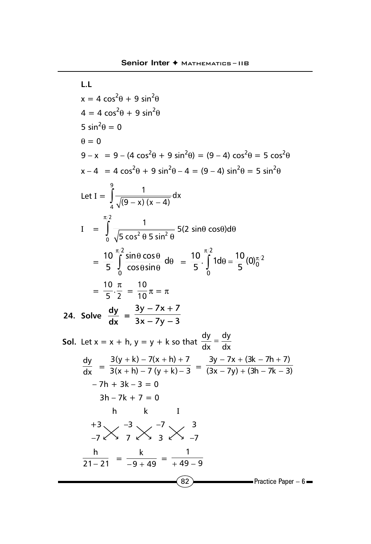1.1  
\n
$$
x = 4 \cos^2 \theta + 9 \sin^2 \theta
$$
  
\n $4 = 4 \cos^2 \theta + 9 \sin^2 \theta$   
\n $5 \sin^2 \theta = 0$   
\n $\theta = 0$   
\n $9 - x = 9 - (4 \cos^2 \theta + 9 \sin^2 \theta) = (9 - 4) \cos^2 \theta = 5 \cos^2 \theta$   
\n $x - 4 = 4 \cos^2 \theta + 9 \sin^2 \theta - 4 = (9 - 4) \sin^2 \theta = 5 \sin^2 \theta$   
\nLet  $I = \int_{0}^{9} \frac{1}{\sqrt{(9 - x)(x - 4)}} dx$   
\n $I = \int_{0}^{\pi/2} \frac{1}{\sqrt{5 \cos^2 \theta \sin^2 \theta}} = 5(2 \sin \theta \cos \theta) d\theta$   
\n $= \frac{10}{5} \int_{0}^{\pi/2} \frac{\sin \theta \cos \theta}{\cos \theta \sin \theta} d\theta = \frac{10}{5} \cdot \int_{0}^{\pi/2} 1 d\theta = \frac{10}{5} (0) \frac{\pi}{2}$   
\n $= \frac{10}{5} \cdot \frac{\pi}{2} = \frac{10}{10} \pi = \pi$   
\n24. Solve  $\frac{dy}{dx} = \frac{3y - 7x + 7}{3x - 7y - 3}$   
\nSoI. Let  $x = x + h, y = y + k$  so that  $\frac{dy}{dx} = \frac{dy}{dx}$   
\n $\frac{dy}{dx} = \frac{3(y + k) - 7(x + h) + 7}{3(x + h) - 7(y + k) - 3} = \frac{3y - 7x + (3k - 7h + 7)}{(3x - 7y) + (3h - 7k - 3)}$   
\n $-7h + 3k - 3 = 0$   
\n $3h - 7k + 7 = 0$   
\n $h = k$   
\n $\frac{+3}{21 - 21} = \frac{k}{-9 + 49} = \frac{1}{+49 - 9}$   
\n $\frac{a_2}{21 - 21} = \frac{k}{-9 + 49} = \frac{1}{+49 - 9}$ 

j,